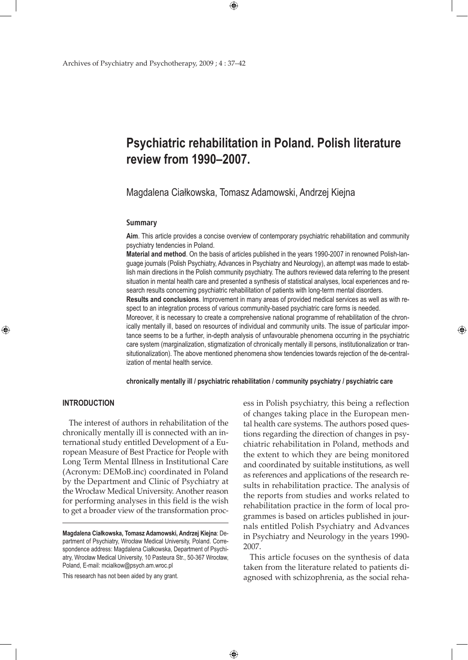# **Psychiatric rehabilitation in Poland. Polish literature review from 1990–2007.**

Magdalena Ciałkowska, Tomasz Adamowski, Andrzej Kiejna

#### **Summary**

**Aim**. This article provides a concise overview of contemporary psychiatric rehabilitation and community psychiatry tendencies in Poland.

**Material and method**. On the basis of articles published in the years 1990-2007 in renowned Polish-language journals (Polish Psychiatry, Advances in Psychiatry and Neurology), an attempt was made to establish main directions in the Polish community psychiatry. The authors reviewed data referring to the present situation in mental health care and presented a synthesis of statistical analyses, local experiences and research results concerning psychiatric rehabilitation of patients with long-term mental disorders.

**Results and conclusions**. Improvement in many areas of provided medical services as well as with respect to an integration process of various community-based psychiatric care forms is needed.

Moreover, it is necessary to create a comprehensive national programme of rehabilitation of the chronically mentally ill, based on resources of individual and community units. The issue of particular importance seems to be a further, in-depth analysis of unfavourable phenomena occurring in the psychiatric care system (marginalization, stigmatization of chronically mentally ill persons, institutionalization or transitutionalization). The above mentioned phenomena show tendencies towards rejection of the de-centralization of mental health service.

**chronically mentally ill / psychiatric rehabilitation / community psychiatry / psychiatric care**

 $\bigoplus$ 

# **INTRODUCTION**

⊕

The interest of authors in rehabilitation of the chronically mentally ill is connected with an international study entitled Development of a European Measure of Best Practice for People with Long Term Mental Illness in Institutional Care (Acronym: DEMoB.inc) coordinated in Poland by the Department and Clinic of Psychiatry at the Wrocław Medical University. Another reason for performing analyses in this field is the wish to get a broader view of the transformation proc-

This research has not been aided by any grant.

ess in Polish psychiatry, this being a reflection of changes taking place in the European mental health care systems. The authors posed questions regarding the direction of changes in psychiatric rehabilitation in Poland, methods and the extent to which they are being monitored and coordinated by suitable institutions, as well as references and applications of the research results in rehabilitation practice. The analysis of the reports from studies and works related to rehabilitation practice in the form of local programmes is based on articles published in journals entitled Polish Psychiatry and Advances in Psychiatry and Neurology in the years 1990- 2007.

⊕

This article focuses on the synthesis of data taken from the literature related to patients diagnosed with schizophrenia, as the social reha-

 $\bigoplus$ 

**Magdalena Ciałkowska, Tomasz Adamowski, Andrzej Kiejna**: Department of Psychiatry, Wrocław Medical University, Poland. Correspondence address: Magdalena Ciałkowska, Department of Psychiatry, Wrocław Medical University, 10 Pasteura Str., 50-367 Wrocław, Poland, E-mail: mcialkow@psych.am.wroc.pl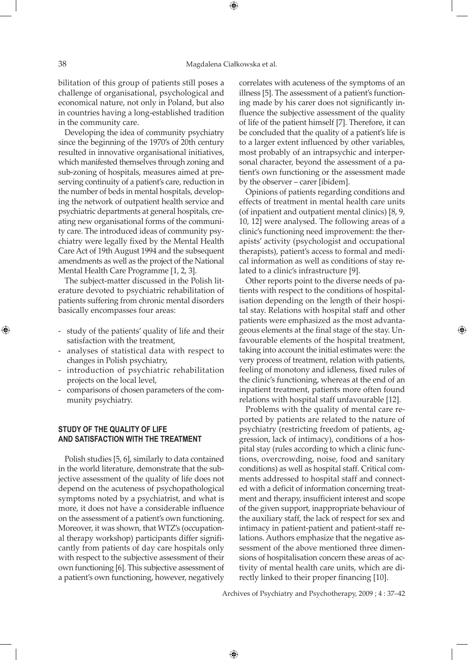bilitation of this group of patients still poses a challenge of organisational, psychological and economical nature, not only in Poland, but also in countries having a long-established tradition in the community care.

Developing the idea of community psychiatry since the beginning of the 1970's of 20th century resulted in innovative organisational initiatives, which manifested themselves through zoning and sub-zoning of hospitals, measures aimed at preserving continuity of a patient's care, reduction in the number of beds in mental hospitals, developing the network of outpatient health service and psychiatric departments at general hospitals, creating new organisational forms of the community care. The introduced ideas of community psychiatry were legally fixed by the Mental Health Care Act of 19th August 1994 and the subsequent amendments as well as the project of the National Mental Health Care Programme [1, 2, 3].

The subject-matter discussed in the Polish literature devoted to psychiatric rehabilitation of patients suffering from chronic mental disorders basically encompasses four areas:

- study of the patients' quality of life and their satisfaction with the treatment,
- analyses of statistical data with respect to changes in Polish psychiatry,
- introduction of psychiatric rehabilitation projects on the local level,
- comparisons of chosen parameters of the community psychiatry.

# **STUDY OF THE QUALITY OF LIFE AND SATISFACTION WITH THE TREATMENT**

Polish studies [5, 6], similarly to data contained in the world literature, demonstrate that the subjective assessment of the quality of life does not depend on the acuteness of psychopathological symptoms noted by a psychiatrist, and what is more, it does not have a considerable influence on the assessment of a patient's own functioning. Moreover, it was shown, that WTZ's (occupational therapy workshop) participants differ significantly from patients of day care hospitals only with respect to the subjective assessment of their own functioning [6]. This subjective assessment of a patient's own functioning, however, negatively

correlates with acuteness of the symptoms of an illness [5]. The assessment of a patient's functioning made by his carer does not significantly influence the subjective assessment of the quality of life of the patient himself [7]. Therefore, it can be concluded that the quality of a patient's life is to a larger extent influenced by other variables, most probably of an intrapsychic and interpersonal character, beyond the assessment of a patient's own functioning or the assessment made by the observer – carer [ibidem].

Opinions of patients regarding conditions and effects of treatment in mental health care units (of inpatient and outpatient mental clinics) [8, 9, 10, 12] were analysed. The following areas of a clinic's functioning need improvement: the therapists' activity (psychologist and occupational therapists), patient's access to formal and medical information as well as conditions of stay related to a clinic's infrastructure [9].

Other reports point to the diverse needs of patients with respect to the conditions of hospitalisation depending on the length of their hospital stay. Relations with hospital staff and other patients were emphasized as the most advantageous elements at the final stage of the stay. Unfavourable elements of the hospital treatment, taking into account the initial estimates were: the very process of treatment, relation with patients, feeling of monotony and idleness, fixed rules of the clinic's functioning, whereas at the end of an inpatient treatment, patients more often found relations with hospital staff unfavourable [12].

Problems with the quality of mental care reported by patients are related to the nature of psychiatry (restricting freedom of patients, aggression, lack of intimacy), conditions of a hospital stay (rules according to which a clinic functions, overcrowding, noise, food and sanitary conditions) as well as hospital staff. Critical comments addressed to hospital staff and connected with a deficit of information concerning treatment and therapy, insufficient interest and scope of the given support, inappropriate behaviour of the auxiliary staff, the lack of respect for sex and intimacy in patient-patient and patient-staff relations. Authors emphasize that the negative assessment of the above mentioned three dimensions of hospitalisation concern these areas of activity of mental health care units, which are directly linked to their proper financing [10].

Archives of Psychiatry and Psychotherapy, 2009 ; 4 : 37–42

 $\bigoplus$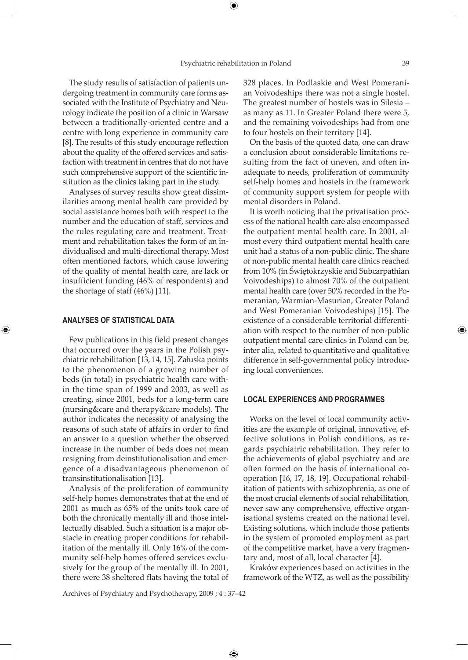⊕

The study results of satisfaction of patients undergoing treatment in community care forms associated with the Institute of Psychiatry and Neurology indicate the position of a clinic in Warsaw between a traditionally-oriented centre and a centre with long experience in community care [8]. The results of this study encourage reflection about the quality of the offered services and satisfaction with treatment in centres that do not have such comprehensive support of the scientific institution as the clinics taking part in the study.

Analyses of survey results show great dissimilarities among mental health care provided by social assistance homes both with respect to the number and the education of staff, services and the rules regulating care and treatment. Treatment and rehabilitation takes the form of an individualised and multi-directional therapy. Most often mentioned factors, which cause lowering of the quality of mental health care, are lack or insufficient funding (46% of respondents) and the shortage of staff (46%) [11].

#### **ANALYSES OF STATISTICAL DATA**

⊕

Few publications in this field present changes that occurred over the years in the Polish psychiatric rehabilitation [13, 14, 15]. Załuska points to the phenomenon of a growing number of beds (in total) in psychiatric health care within the time span of 1999 and 2003, as well as creating, since 2001, beds for a long-term care (nursing&care and therapy&care models). The author indicates the necessity of analysing the reasons of such state of affairs in order to find an answer to a question whether the observed increase in the number of beds does not mean resigning from deinstitutionalisation and emergence of a disadvantageous phenomenon of transinstitutionalisation [13].

Analysis of the proliferation of community self-help homes demonstrates that at the end of 2001 as much as 65% of the units took care of both the chronically mentally ill and those intellectually disabled. Such a situation is a major obstacle in creating proper conditions for rehabilitation of the mentally ill. Only 16% of the community self-help homes offered services exclusively for the group of the mentally ill. In 2001, there were 38 sheltered flats having the total of

328 places. In Podlaskie and West Pomeranian Voivodeships there was not a single hostel. The greatest number of hostels was in Silesia – as many as 11. In Greater Poland there were 5, and the remaining voivodeships had from one to four hostels on their territory [14].

On the basis of the quoted data, one can draw a conclusion about considerable limitations resulting from the fact of uneven, and often inadequate to needs, proliferation of community self-help homes and hostels in the framework of community support system for people with mental disorders in Poland.

It is worth noticing that the privatisation process of the national health care also encompassed the outpatient mental health care. In 2001, almost every third outpatient mental health care unit had a status of a non-public clinic. The share of non-public mental health care clinics reached from 10% (in Świętokrzyskie and Subcarpathian Voivodeships) to almost 70% of the outpatient mental health care (over 50% recorded in the Pomeranian, Warmian-Masurian, Greater Poland and West Pomeranian Voivodeships) [15]. The existence of a considerable territorial differentiation with respect to the number of non-public outpatient mental care clinics in Poland can be, inter alia, related to quantitative and qualitative difference in self-governmental policy introducing local conveniences.

## **LOCAL EXPERIENCES AND PROGRAMMES**

Works on the level of local community activities are the example of original, innovative, effective solutions in Polish conditions, as regards psychiatric rehabilitation. They refer to the achievements of global psychiatry and are often formed on the basis of international cooperation [16, 17, 18, 19]. Occupational rehabilitation of patients with schizophrenia, as one of the most crucial elements of social rehabilitation, never saw any comprehensive, effective organisational systems created on the national level. Existing solutions, which include those patients in the system of promoted employment as part of the competitive market, have a very fragmentary and, most of all, local character [4].

Kraków experiences based on activities in the framework of the WTZ, as well as the possibility

Archives of Psychiatry and Psychotherapy, 2009 ; 4 : 37–42

 $\bigoplus$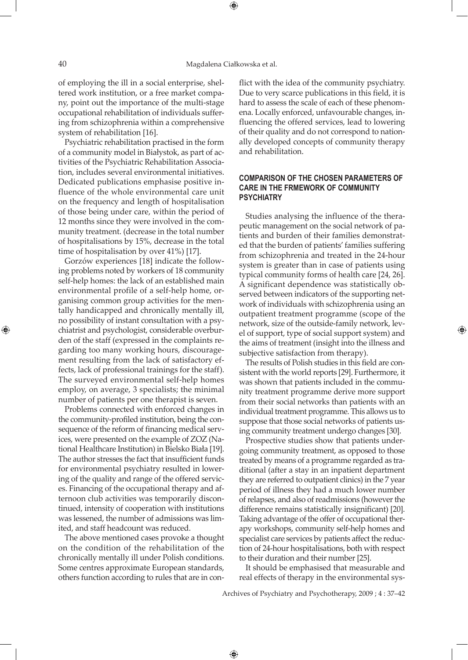of employing the ill in a social enterprise, sheltered work institution, or a free market company, point out the importance of the multi-stage occupational rehabilitation of individuals suffering from schizophrenia within a comprehensive system of rehabilitation [16].

Psychiatric rehabilitation practised in the form of a community model in Białystok, as part of activities of the Psychiatric Rehabilitation Association, includes several environmental initiatives. Dedicated publications emphasise positive influence of the whole environmental care unit on the frequency and length of hospitalisation of those being under care, within the period of 12 months since they were involved in the community treatment. (decrease in the total number of hospitalisations by 15%, decrease in the total time of hospitalisation by over 41%) [17].

Gorzów experiences [18] indicate the following problems noted by workers of 18 community self-help homes: the lack of an established main environmental profile of a self-help home, organising common group activities for the mentally handicapped and chronically mentally ill, no possibility of instant consultation with a psychiatrist and psychologist, considerable overburden of the staff (expressed in the complaints regarding too many working hours, discouragement resulting from the lack of satisfactory effects, lack of professional trainings for the staff). The surveyed environmental self-help homes employ, on average, 3 specialists; the minimal number of patients per one therapist is seven.

Problems connected with enforced changes in the community-profiled institution, being the consequence of the reform of financing medical services, were presented on the example of ZOZ (National Healthcare Institution) in Bielsko Biała [19]. The author stresses the fact that insufficient funds for environmental psychiatry resulted in lowering of the quality and range of the offered services. Financing of the occupational therapy and afternoon club activities was temporarily discontinued, intensity of cooperation with institutions was lessened, the number of admissions was limited, and staff headcount was reduced.

The above mentioned cases provoke a thought on the condition of the rehabilitation of the chronically mentally ill under Polish conditions. Some centres approximate European standards, others function according to rules that are in conflict with the idea of the community psychiatry. Due to very scarce publications in this field, it is hard to assess the scale of each of these phenomena. Locally enforced, unfavourable changes, influencing the offered services, lead to lowering of their quality and do not correspond to nationally developed concepts of community therapy and rehabilitation.

# **COMPARISON OF THE CHOSEN PARAMETERS OF CARE IN THE FRMEWORK OF COMMUNITY PSYCHIATRY**

Studies analysing the influence of the therapeutic management on the social network of patients and burden of their families demonstrated that the burden of patients' families suffering from schizophrenia and treated in the 24-hour system is greater than in case of patients using typical community forms of health care [24, 26]. A significant dependence was statistically observed between indicators of the supporting network of individuals with schizophrenia using an outpatient treatment programme (scope of the network, size of the outside-family network, level of support, type of social support system) and the aims of treatment (insight into the illness and subjective satisfaction from therapy).

The results of Polish studies in this field are consistent with the world reports [29]. Furthermore, it was shown that patients included in the community treatment programme derive more support from their social networks than patients with an individual treatment programme. This allows us to suppose that those social networks of patients using community treatment undergo changes [30].

Prospective studies show that patients undergoing community treatment, as opposed to those treated by means of a programme regarded as traditional (after a stay in an inpatient department they are referred to outpatient clinics) in the 7 year period of illness they had a much lower number of relapses, and also of readmissions (however the difference remains statistically insignificant) [20]. Taking advantage of the offer of occupational therapy workshops, community self-help homes and specialist care services by patients affect the reduction of 24-hour hospitalisations, both with respect to their duration and their number [25].

It should be emphasised that measurable and real effects of therapy in the environmental sys-

Archives of Psychiatry and Psychotherapy, 2009 ; 4 : 37–42

 $\bigoplus$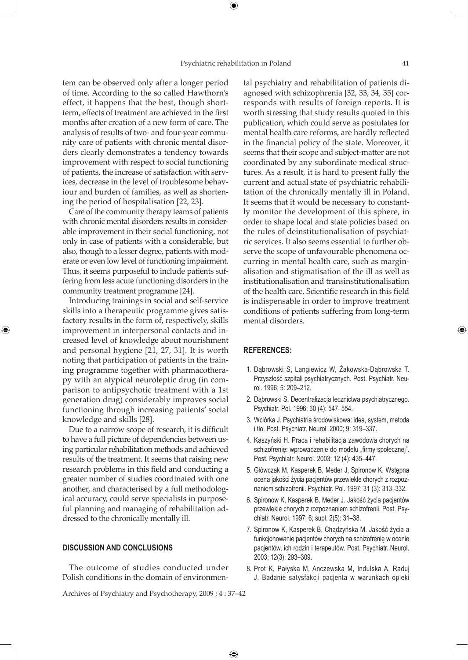$\bigoplus$ 

tem can be observed only after a longer period of time. According to the so called Hawthorn's effect, it happens that the best, though shortterm, effects of treatment are achieved in the first months after creation of a new form of care. The analysis of results of two- and four-year community care of patients with chronic mental disorders clearly demonstrates a tendency towards improvement with respect to social functioning of patients, the increase of satisfaction with services, decrease in the level of troublesome behaviour and burden of families, as well as shortening the period of hospitalisation [22, 23].

Care of the community therapy teams of patients with chronic mental disorders results in considerable improvement in their social functioning, not only in case of patients with a considerable, but also, though to a lesser degree, patients with moderate or even low level of functioning impairment. Thus, it seems purposeful to include patients suffering from less acute functioning disorders in the community treatment programme [24].

Introducing trainings in social and self-service skills into a therapeutic programme gives satisfactory results in the form of, respectively, skills improvement in interpersonal contacts and increased level of knowledge about nourishment and personal hygiene [21, 27, 31]. It is worth noting that participation of patients in the training programme together with pharmacotherapy with an atypical neuroleptic drug (in comparison to antipsychotic treatment with a 1st generation drug) considerably improves social functioning through increasing patients' social knowledge and skills [28].

⊕

Due to a narrow scope of research, it is difficult to have a full picture of dependencies between using particular rehabilitation methods and achieved results of the treatment. It seems that raising new research problems in this field and conducting a greater number of studies coordinated with one another, and characterised by a full methodological accuracy, could serve specialists in purposeful planning and managing of rehabilitation addressed to the chronically mentally ill.

#### **DISCUSSION AND CONCLUSIONS**

The outcome of studies conducted under Polish conditions in the domain of environmental psychiatry and rehabilitation of patients diagnosed with schizophrenia [32, 33, 34, 35] corresponds with results of foreign reports. It is worth stressing that study results quoted in this publication, which could serve as postulates for mental health care reforms, are hardly reflected in the financial policy of the state. Moreover, it seems that their scope and subject-matter are not coordinated by any subordinate medical structures. As a result, it is hard to present fully the current and actual state of psychiatric rehabilitation of the chronically mentally ill in Poland. It seems that it would be necessary to constantly monitor the development of this sphere, in order to shape local and state policies based on the rules of deinstitutionalisation of psychiatric services. It also seems essential to further observe the scope of unfavourable phenomena occurring in mental health care, such as marginalisation and stigmatisation of the ill as well as institutionalisation and transinstitutionalisation of the health care. Scientific research in this field is indispensable in order to improve treatment conditions of patients suffering from long-term mental disorders.

### **References:**

- 1. Dąbrowski S, Langiewicz W, Żakowska-Dąbrowska T. Przyszłość szpitali psychiatrycznych. Post. Psychiatr. Neurol. 1996; 5: 209–212.
- 2. Dąbrowski S. Decentralizacja lecznictwa psychiatrycznego. Psychiatr. Pol. 1996; 30 (4): 547–554.
- 3. Wciórka J. Psychiatria środowiskowa: idea, system, metoda i tło. Post. Psychiatr. Neurol. 2000; 9: 319–337.
- 4. Kaszyński H. Praca i rehabilitacja zawodowa chorych na schizofrenię: wprowadzenie do modelu "firmy społecznej". Post. Psychiatr. Neurol. 2003; 12 (4): 435–447.
- 5. Główczak M, Kasperek B, Meder J, Spironow K. Wstępna ocena jakości życia pacjentów przewlekle chorych z rozpoznaniem schizofrenii. Psychiatr. Pol. 1997; 31 (3): 313–332.
- 6. Spironow K, Kasperek B, Meder J. Jakość życia pacjentów przewlekle chorych z rozpoznaniem schizofrenii. Post. Psychiatr. Neurol. 1997; 6; supl. 2(5): 31–38.
- 7. Spironow K, Kasperek B, Chądzyńska M. Jakość życia a funkcjonowanie pacjentów chorych na schizofrenię w ocenie pacjentów, ich rodzin i terapeutów. Post. Psychiatr. Neurol. 2003; 12(3): 293–309.
- 8. Prot K, Pałyska M, Anczewska M, Indulska A, Raduj J. Badanie satysfakcji pacjenta w warunkach opieki

Archives of Psychiatry and Psychotherapy, 2009 ; 4 : 37–42

 $\bigoplus$